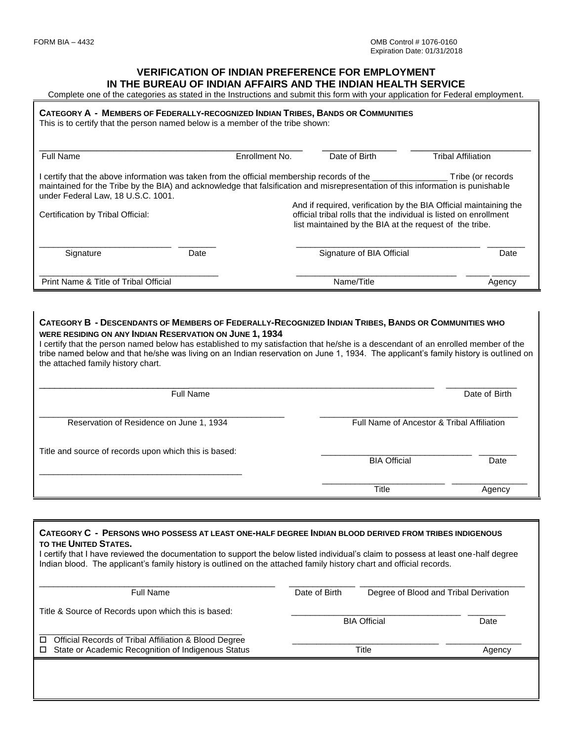#### **VERIFICATION OF INDIAN PREFERENCE FOR EMPLOYMENT IN THE BUREAU OF INDIAN AFFAIRS AND THE INDIAN HEALTH SERVICE**

Complete one of the categories as stated in the Instructions and submit this form with your application for Federal employment.

#### CATEGORY A - MEMBERS OF FEDERALLY-RECOGNIZED INDIAN TRIBES, BANDS OR COMMUNITIES

This is to certify that the person named below is a member of the tribe shown:

| Full Name                                                                                                                                                                                                                                                                    |      | Enrollment No.                                                                                                                                                                                    | Date of Birth             | <b>Tribal Affiliation</b> |  |
|------------------------------------------------------------------------------------------------------------------------------------------------------------------------------------------------------------------------------------------------------------------------------|------|---------------------------------------------------------------------------------------------------------------------------------------------------------------------------------------------------|---------------------------|---------------------------|--|
| l certify that the above information was taken from the official membership records of the ________<br>maintained for the Tribe by the BIA) and acknowledge that falsification and misrepresentation of this information is punishable<br>under Federal Law, 18 U.S.C. 1001. |      |                                                                                                                                                                                                   |                           | Tribe (or records         |  |
| Certification by Tribal Official:                                                                                                                                                                                                                                            |      | And if required, verification by the BIA Official maintaining the<br>official tribal rolls that the individual is listed on enrollment<br>list maintained by the BIA at the request of the tribe. |                           |                           |  |
| Signature                                                                                                                                                                                                                                                                    | Date |                                                                                                                                                                                                   | Signature of BIA Official | Date                      |  |
| Print Name & Title of Tribal Official                                                                                                                                                                                                                                        |      |                                                                                                                                                                                                   | Name/Title                | Agency                    |  |

#### CATEGORY B - DESCENDANTS OF MEMBERS OF FEDERALLY-RECOGNIZED INDIAN TRIBES, BANDS OR COMMUNITIES WHO **WERE RESIDING ON ANY INDIAN RESERVATION ON JUNE 1, 1934**

I certify that the person named below has established to my satisfaction that he/she is a descendant of an enrolled member of the tribe named below and that he/she was living on an Indian reservation on June 1, 1934. The applicant's family history is outlined on the attached family history chart.

| <b>Full Name</b>                                      |                                            | Date of Birth |  |
|-------------------------------------------------------|--------------------------------------------|---------------|--|
| Reservation of Residence on June 1, 1934              | Full Name of Ancestor & Tribal Affiliation |               |  |
| Title and source of records upon which this is based: | <b>BIA Official</b>                        |               |  |
|                                                       | Title                                      | Agency        |  |

# **CATEGORY C - PERSONS WHO POSSESS AT LEAST ONE-HALF DEGREE INDIAN BLOOD DERIVED FROM TRIBES INDIGENOUS TO THE UNITED STATES.** I certify that I have reviewed the documentation to support the below listed individual's claim to possess at least one-half degree Indian blood. The applicant's family history is outlined on the attached family history chart and official records. \_\_\_\_\_\_\_\_\_\_\_\_\_\_\_\_\_\_\_\_\_\_\_\_\_\_\_\_\_\_\_\_\_\_\_\_\_\_\_\_\_\_\_\_\_\_\_\_\_\_ \_\_\_\_\_\_\_\_\_\_\_\_\_\_ \_\_\_\_\_\_\_\_\_\_\_\_\_\_\_\_\_\_\_\_\_\_\_\_\_\_\_\_\_\_\_\_\_\_\_ Full Name Date of Birth Degree of Blood and Tribal Derivation Title & Source of Records upon which this is based: enter and the control of the BIA Official Date of the Date of the Date of the Date of the Date of the Date of the Date of the Date of the Date of the Date of the Date of the Date of the Date of the Date of the Date of the \_\_\_\_\_\_\_\_\_\_\_\_\_\_\_\_\_\_\_\_\_\_\_\_\_\_\_\_\_\_\_\_\_\_\_\_\_\_\_\_\_\_\_ □ Official Records of Tribal Affiliation & Blood Degree □ State or Academic Recognition of Indigenous Status Title Title Title Agency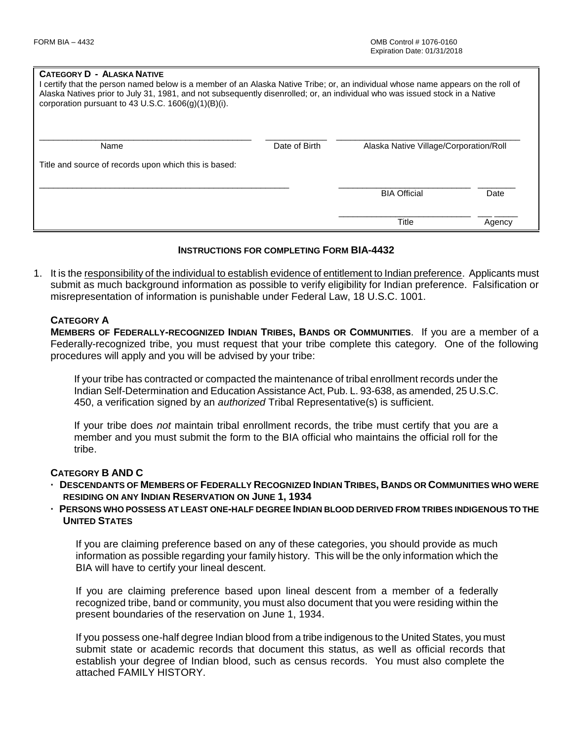#### **CATEGORY D - ALASKA NATIVE**

| I certify that the person named below is a member of an Alaska Native Tribe; or, an individual whose name appears on the roll of<br>Alaska Natives prior to July 31, 1981, and not subsequently disenrolled; or, an individual who was issued stock in a Native<br>corporation pursuant to 43 U.S.C. $1606(q)(1)(B)(i)$ . |               |                                        |        |  |  |
|---------------------------------------------------------------------------------------------------------------------------------------------------------------------------------------------------------------------------------------------------------------------------------------------------------------------------|---------------|----------------------------------------|--------|--|--|
| Name                                                                                                                                                                                                                                                                                                                      | Date of Birth | Alaska Native Village/Corporation/Roll |        |  |  |
| Title and source of records upon which this is based:                                                                                                                                                                                                                                                                     |               |                                        |        |  |  |
|                                                                                                                                                                                                                                                                                                                           |               | <b>BIA Official</b>                    | Date   |  |  |
|                                                                                                                                                                                                                                                                                                                           |               | <b>Title</b>                           | Agency |  |  |

## **INSTRUCTIONS FOR COMPLETING FORM BIA-4432**

1. It is the responsibility of the individual to establish evidence of entitlement to Indian preference. Applicants must submit as much background information as possible to verify eligibility for Indian preference. Falsification or misrepresentation of information is punishable under Federal Law, 18 U.S.C. 1001.

## **CATEGORY A**

**MEMBERS OF FEDERALLY-RECOGNIZED INDIAN TRIBES, BANDS OR COMMUNITIES**. If you are a member of a Federally-recognized tribe, you must request that your tribe complete this category. One of the following procedures will apply and you will be advised by your tribe:

If your tribe has contracted or compacted the maintenance of tribal enrollment records under the Indian Self-Determination and Education Assistance Act, Pub. L. 93-638, as amended, 25 U.S.C. 450, a verification signed by an *authorized* Tribal Representative(s) is sufficient.

If your tribe does *not* maintain tribal enrollment records, the tribe must certify that you are a member and you must submit the form to the BIA official who maintains the official roll for the tribe.

#### **CATEGORY B AND C**

- DESCENDANTS OF MEMBERS OF FEDERALLY RECOGNIZED INDIAN TRIBES, BANDS OR COMMUNITIES WHO WERE **RESIDING ON ANY INDIAN RESERVATION ON JUNE 1, 1934**
- **· PERSONS WHO POSSESS AT LEAST ONE-HALF DEGREE INDIAN BLOOD DERIVED FROM TRIBES INDIGENOUS TO THE UNITED STATES**

If you are claiming preference based on any of these categories, you should provide as much information as possible regarding your family history. This will be the only information which the BIA will have to certify your lineal descent.

If you are claiming preference based upon lineal descent from a member of a federally recognized tribe, band or community, you must also document that you were residing within the present boundaries of the reservation on June 1, 1934.

If you possess one-half degree Indian blood from a tribe indigenous to the United States, you must submit state or academic records that document this status, as well as official records that establish your degree of Indian blood, such as census records. You must also complete the attached FAMILY HISTORY.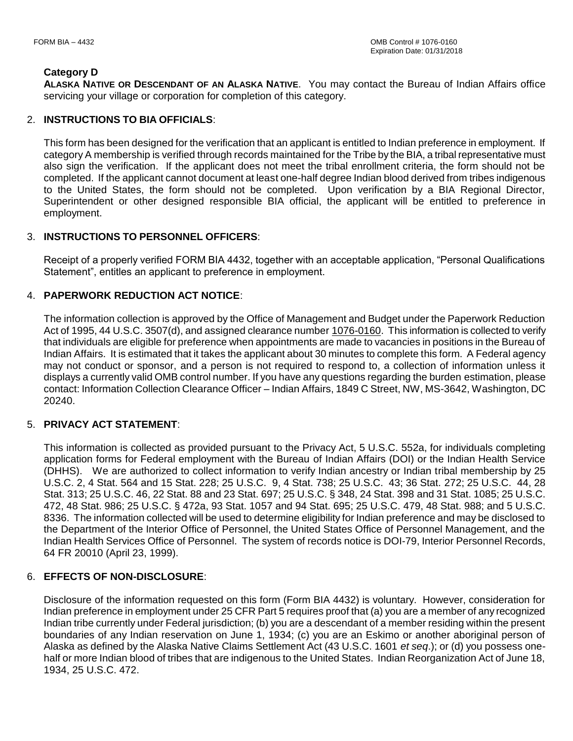# **Category D**

**ALASKA NATIVE OR DESCENDANT OF AN ALASKA NATIVE**. You may contact the Bureau of Indian Affairs office servicing your village or corporation for completion of this category.

# 2. **INSTRUCTIONS TO BIA OFFICIALS**:

This form has been designed for the verification that an applicant is entitled to Indian preference in employment. If category A membership is verified through records maintained for the Tribe by the BIA, a tribal representative must also sign the verification. If the applicant does not meet the tribal enrollment criteria, the form should not be completed. If the applicant cannot document at least one-half degree Indian blood derived from tribes indigenous to the United States, the form should not be completed. Upon verification by a BIA Regional Director, Superintendent or other designed responsible BIA official, the applicant will be entitled to preference in employment.

# 3. **INSTRUCTIONS TO PERSONNEL OFFICERS**:

Receipt of a properly verified FORM BIA 4432, together with an acceptable application, "Personal Qualifications Statement", entitles an applicant to preference in employment.

# 4. **PAPERWORK REDUCTION ACT NOTICE**:

The information collection is approved by the Office of Management and Budget under the Paperwork Reduction Act of 1995, 44 U.S.C. 3507(d), and assigned clearance number 1076-0160. This information is collected to verify that individuals are eligible for preference when appointments are made to vacancies in positions in the Bureau of Indian Affairs. It is estimated that it takes the applicant about 30 minutes to complete this form. A Federal agency may not conduct or sponsor, and a person is not required to respond to, a collection of information unless it displays a currently valid OMB control number. If you have any questions regarding the burden estimation, please contact: Information Collection Clearance Officer – Indian Affairs, 1849 C Street, NW, MS-3642, Washington, DC 20240.

## 5. **PRIVACY ACT STATEMENT**:

This information is collected as provided pursuant to the Privacy Act, 5 U.S.C. 552a, for individuals completing application forms for Federal employment with the Bureau of Indian Affairs (DOI) or the Indian Health Service (DHHS). We are authorized to collect information to verify Indian ancestry or Indian tribal membership by 25 U.S.C. 2, 4 Stat. 564 and 15 Stat. 228; 25 U.S.C. 9, 4 Stat. 738; 25 U.S.C. 43; 36 Stat. 272; 25 U.S.C. 44, 28 Stat. 313; 25 U.S.C. 46, 22 Stat. 88 and 23 Stat. 697; 25 U.S.C. § 348, 24 Stat. 398 and 31 Stat. 1085; 25 U.S.C. 472, 48 Stat. 986; 25 U.S.C. § 472a, 93 Stat. 1057 and 94 Stat. 695; 25 U.S.C. 479, 48 Stat. 988; and 5 U.S.C. 8336. The information collected will be used to determine eligibility for Indian preference and may be disclosed to the Department of the Interior Office of Personnel, the United States Office of Personnel Management, and the Indian Health Services Office of Personnel. The system of records notice is DOI-79, Interior Personnel Records, 64 FR 20010 (April 23, 1999).

## 6. **EFFECTS OF NON-DISCLOSURE**:

Disclosure of the information requested on this form (Form BIA 4432) is voluntary. However, consideration for Indian preference in employment under 25 CFR Part 5 requires proof that (a) you are a member of any recognized Indian tribe currently under Federal jurisdiction; (b) you are a descendant of a member residing within the present boundaries of any Indian reservation on June 1, 1934; (c) you are an Eskimo or another aboriginal person of Alaska as defined by the Alaska Native Claims Settlement Act (43 U.S.C. 1601 *et seq*.); or (d) you possess onehalf or more Indian blood of tribes that are indigenous to the United States. Indian Reorganization Act of June 18, 1934, 25 U.S.C. 472.